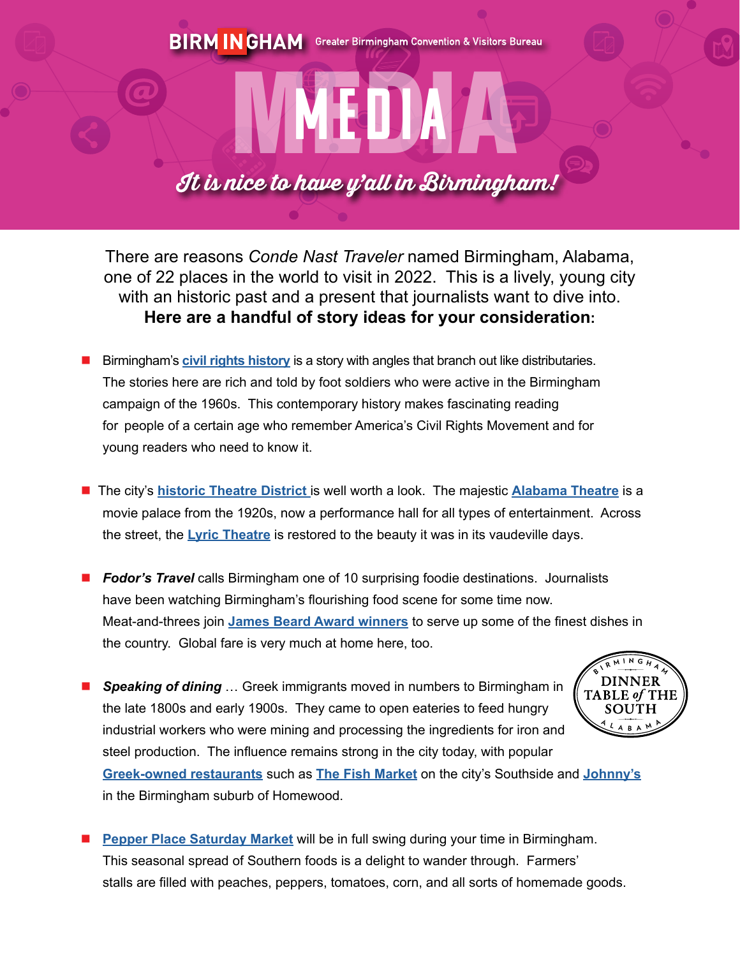## MEDIA A It is nice to have y'all in Birmingham!

MEDIA

There are reasons *Conde Nast Traveler* named Birmingham, Alabama, one of 22 places in the world to visit in 2022. This is a lively, young city with an historic past and a present that journalists want to dive into. **Here are a handful of story ideas for your consideration:**

- n Birmingham's **[civil rights history](http://birmingham.tekgroupweb.com/article_display.cfm?article_id=1012)** is a story with angles that branch out like distributaries. The stories here are rich and told by foot soldiers who were active in the Birmingham campaign of the 1960s. This contemporary history makes fascinating reading for people of a certain age who remember America's Civil Rights Movement and for young readers who need to know it.
- **n** The city's **historic Theatre District** is well worth a look. The majestic **[Alabama Theatre](https://alabamatheatre.com)** is a movie palace from the 1920s, now a performance hall for all types of entertainment. Across the street, the **[Lyric Theatre](https://lyricbham.com)** is restored to the beauty it was in its vaudeville days.
- **Fodor's Travel** calls Birmingham one of 10 surprising foodie destinations. Journalists have been watching Birmingham's flourishing food scene for some time now. Meat-and-threes join **[James Beard Award winners](https://bhamnow.com/2022/02/24/3-birmingham-area-restaurants-and-chefs-named-2022-james-beard-semifinalists/)** to serve up some of the finest dishes in the country. Global fare is very much at home here, too.

 $E$  of THE

**DINNER Speaking of dining** ... Greek immigrants moved in numbers to Birmingham in the late 1800s and early 1900s. They came to open eateries to feed hungry SOUTH industrial workers who were mining and processing the ingredients for iron and steel production. The influence remains strong in the city today, with popular **[Greek-owned restaurants](https://www.southernfoodways.org/birmingham-greek-restaurant-guide/)** such as **[The Fish Market](http://www.thefishmarket.net)** on the city's Southside and **[Johnny's](http://www.johnnyshomewood.com)**



**[Pepper Place Saturday Market](https://pepperplacemarket.com)** will be in full swing during your time in Birmingham. This seasonal spread of Southern foods is a delight to wander through. Farmers' stalls are filled with peaches, peppers, tomatoes, corn, and all sorts of homemade goods.